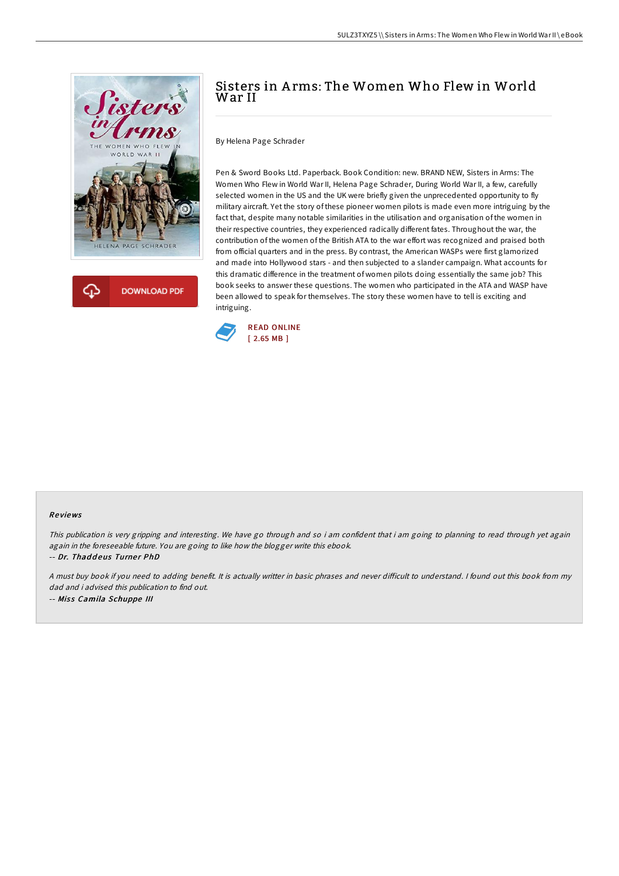



# Sisters in A rms: The Women Who Flew in World War II

By Helena Page Schrader

Pen & Sword Books Ltd. Paperback. Book Condition: new. BRAND NEW, Sisters in Arms: The Women Who Flew in World War II, Helena Page Schrader, During World War II, a few, carefully selected women in the US and the UK were briefly given the unprecedented opportunity to fly military aircraft. Yet the story of these pioneer women pilots is made even more intriguing by the fact that, despite many notable similarities in the utilisation and organisation of the women in their respective countries, they experienced radically different fates. Throughout the war, the contribution of the women of the British ATA to the war effort was recognized and praised both from official quarters and in the press. By contrast, the American WASPs were first glamorized and made into Hollywood stars - and then subjected to a slander campaign. What accounts for this dramatic difference in the treatment of women pilots doing essentially the same job? This book seeks to answer these questions. The women who participated in the ATA and WASP have been allowed to speak for themselves. The story these women have to tell is exciting and intriguing.



#### Re views

This publication is very gripping and interesting. We have go through and so i am confident that i am going to planning to read through yet again again in the foreseeable future. You are going to like how the blogger write this ebook. -- Dr. Thaddeus Turner PhD

A must buy book if you need to adding benefit. It is actually writter in basic phrases and never difficult to understand. I found out this book from my dad and i advised this publication to find out. -- Miss Camila Schuppe III